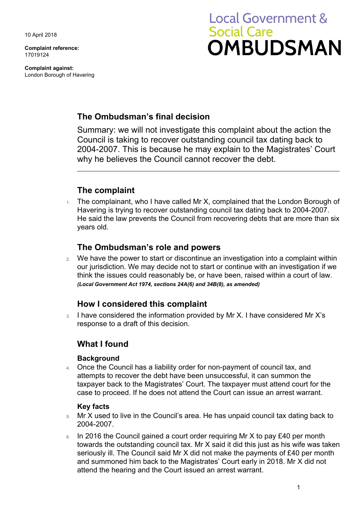10 April 2018

**Complaint reference:**  17019124

**Complaint against:**  London Borough of Havering

# **Local Government & Social Care OMBUDSMAN**

## **The Ombudsman's final decision**

 2004-2007. This is because he may explain to the Magistrates' Court Summary: we will not investigate this complaint about the action the Council is taking to recover outstanding council tax dating back to why he believes the Council cannot recover the debt.

# **The complaint**

The complainant, who I have called Mr X, complained that the London Borough of Havering is trying to recover outstanding council tax dating back to 2004-2007. He said the law prevents the Council from recovering debts that are more than six years old.

### **The Ombudsman's role and powers**

 think the issues could reasonably be, or have been, raised within a court of law. 2. We have the power to start or discontinue an investigation into a complaint within our jurisdiction. We may decide not to start or continue with an investigation if we *(Local Government Act 1974, sections 24A(6) and 34B(8), as amended)* 

## **How I considered this complaint**

 response to a draft of this decision. 3. I have considered the information provided by Mr X. I have considered Mr X's

## **What I found**

#### **Background**

 case to proceed. If he does not attend the Court can issue an arrest warrant. 4. Once the Council has a liability order for non-payment of council tax, and attempts to recover the debt have been unsuccessful, it can summon the taxpayer back to the Magistrates' Court. The taxpayer must attend court for the

#### **Key facts**

- 5. Mr X used to live in the Council's area. He has unpaid council tax dating back to 2004-2007.
- towards the outstanding council tax. Mr X said it did this just as his wife was taken 6. In 2016 the Council gained a court order requiring Mr X to pay £40 per month seriously ill. The Council said Mr X did not make the payments of £40 per month and summoned him back to the Magistrates' Court early in 2018. Mr X did not attend the hearing and the Court issued an arrest warrant.